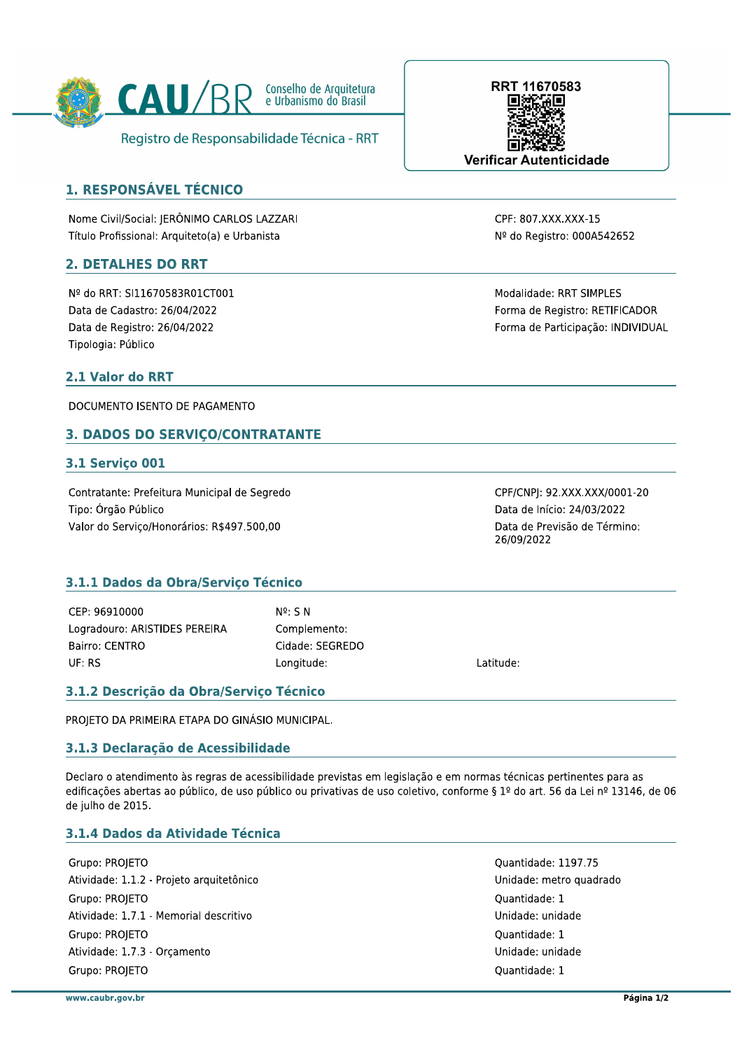

# **1. RESPONSÁVEL TÉCNICO**

Nome Civil/Social: JERÔNIMO CARLOS LAZZARI Título Profissional: Arquiteto(a) e Urbanista

# **2. DETALHES DO RRT**

Nº do RRT: SI11670583R01CT001 Data de Cadastro: 26/04/2022 Data de Registro: 26/04/2022 Tipologia: Público

#### 2.1 Valor do RRT

DOCUMENTO ISENTO DE PAGAMENTO

# **3. DADOS DO SERVIÇO/CONTRATANTE**

#### **3.1 Servico 001**

Contratante: Prefeitura Municipal de Segredo Tipo: Órgão Público Valor do Serviço/Honorários: R\$497.500,00

## 3.1.1 Dados da Obra/Servico Técnico

CEP: 96910000 Logradouro: ARISTIDES PEREIRA Bairro: CENTRO UF: RS

 $N^{\circ}$ : S N Complemento: Cidade: SEGREDO Longitude:

Latitude:

#### 3.1.2 Descrição da Obra/Serviço Técnico

PROJETO DA PRIMEIRA ETAPA DO GINÁSIO MUNICIPAL.

## 3.1.3 Declaração de Acessibilidade

Declaro o atendimento às regras de acessibilidade previstas em legislação e em normas técnicas pertinentes para as edificações abertas ao público, de uso público ou privativas de uso coletivo, conforme § 1º do art. 56 da Lei nº 13146, de 06 de julho de 2015.

#### 3.1.4 Dados da Atividade Técnica

Grupo: PROJETO Atividade: 1.1.2 - Projeto arquitetônico Grupo: PROJETO Atividade: 1.7.1 - Memorial descritivo Grupo: PROJETO Atividade: 1.7.3 - Orcamento Grupo: PROJETO

Quantidade: 1197.75 Unidade: metro quadrado **Ouantidade: 1** Unidade: unidade Ouantidade: 1 Unidade: unidade Ouantidade: 1

**RRT 11670583 Verificar Autenticidade** 

> CPF: 807.XXX.XXX-15 Nº do Registro: 000A542652

Modalidade: RRT SIMPLES Forma de Registro: RETIFICADOR Forma de Participação: INDIVIDUAL

CPF/CNPJ: 92.XXX.XXX/0001-20

Data de Previsão de Término:

Data de Início: 24/03/2022

26/09/2022

Página 1/2